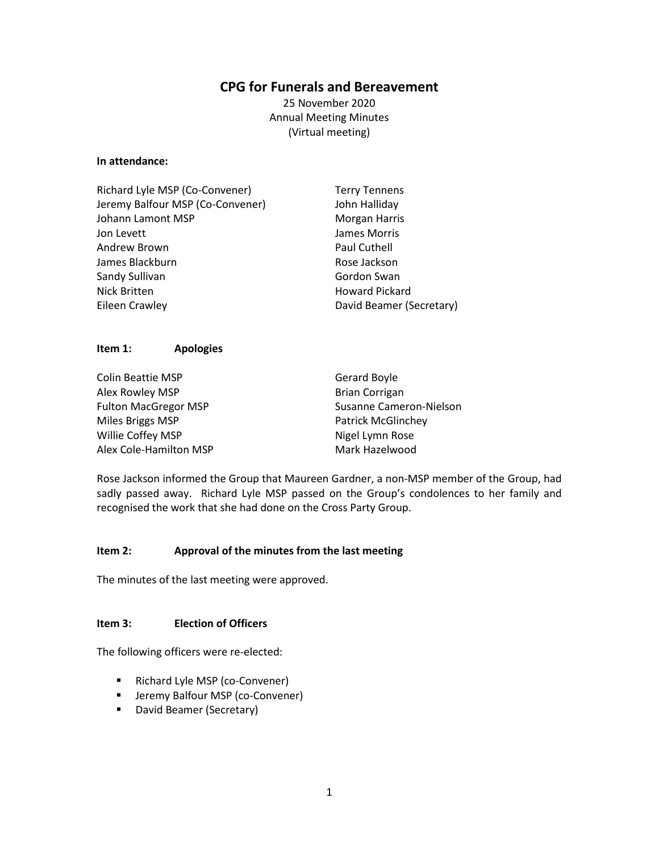# **CPG for Funerals and Bereavement**

25 November 2020 Annual Meeting Minutes (Virtual meeting)

#### **In attendance:**

| Richard Lyle MSP (Co-Convener)   | <b>Terry Tennens</b>     |
|----------------------------------|--------------------------|
| Jeremy Balfour MSP (Co-Convener) | John Halliday            |
| Johann Lamont MSP                | <b>Morgan Harris</b>     |
| Jon Levett                       | James Morris             |
| Andrew Brown                     | Paul Cuthell             |
| James Blackburn                  | Rose Jackson             |
| Sandy Sullivan                   | Gordon Swan              |
| Nick Britten                     | <b>Howard Pickard</b>    |
| Eileen Crawley                   | David Beamer (Secretary) |

### **Item 1: Apologies**

| <b>Colin Beattie MSP</b>    | Gerard Boyle              |
|-----------------------------|---------------------------|
| Alex Rowley MSP             | <b>Brian Corrigan</b>     |
| <b>Fulton MacGregor MSP</b> | Susanne Cameron-Nielson   |
| Miles Briggs MSP            | <b>Patrick McGlinchey</b> |
| Willie Coffey MSP           | Nigel Lymn Rose           |
| Alex Cole-Hamilton MSP      | Mark Hazelwood            |

Rose Jackson informed the Group that Maureen Gardner, a non-MSP member of the Group, had sadly passed away. Richard Lyle MSP passed on the Group's condolences to her family and recognised the work that she had done on the Cross Party Group.

### **Item 2: Approval of the minutes from the last meeting**

The minutes of the last meeting were approved.

#### **Item 3: Election of Officers**

The following officers were re-elected:

- Richard Lyle MSP (co-Convener)
- **E** Jeremy Balfour MSP (co-Convener)
- **David Beamer (Secretary)**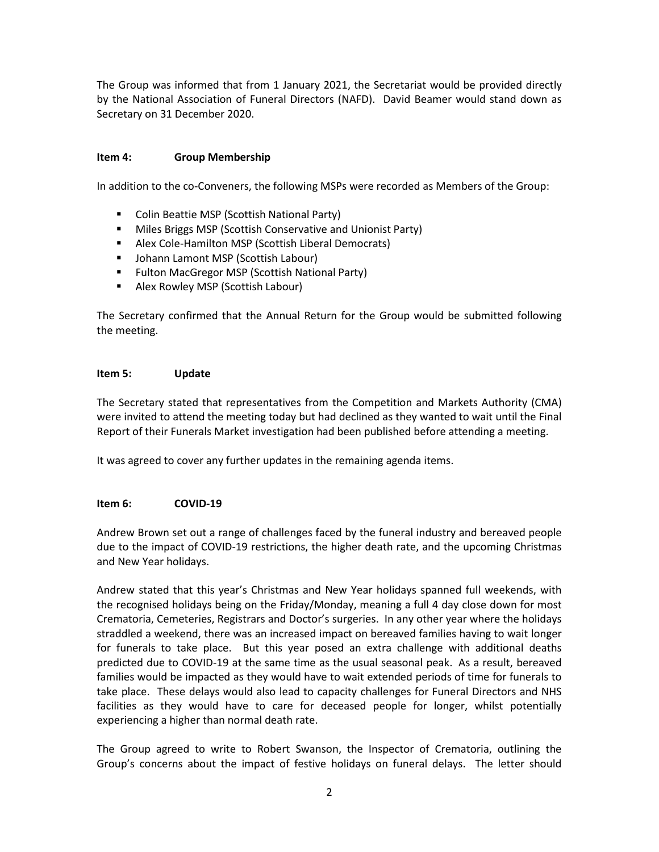The Group was informed that from 1 January 2021, the Secretariat would be provided directly by the National Association of Funeral Directors (NAFD). David Beamer would stand down as Secretary on 31 December 2020.

## **Item 4: Group Membership**

In addition to the co-Conveners, the following MSPs were recorded as Members of the Group:

- Colin Beattie MSP (Scottish National Party)
- **Miles Briggs MSP (Scottish Conservative and Unionist Party)**
- Alex Cole-Hamilton MSP (Scottish Liberal Democrats)
- Johann Lamont MSP (Scottish Labour)
- **Fulton MacGregor MSP (Scottish National Party)**
- Alex Rowley MSP (Scottish Labour)

The Secretary confirmed that the Annual Return for the Group would be submitted following the meeting.

#### **Item 5: Update**

The Secretary stated that representatives from the Competition and Markets Authority (CMA) were invited to attend the meeting today but had declined as they wanted to wait until the Final Report of their Funerals Market investigation had been published before attending a meeting.

It was agreed to cover any further updates in the remaining agenda items.

### **Item 6: COVID-19**

Andrew Brown set out a range of challenges faced by the funeral industry and bereaved people due to the impact of COVID-19 restrictions, the higher death rate, and the upcoming Christmas and New Year holidays.

Andrew stated that this year's Christmas and New Year holidays spanned full weekends, with the recognised holidays being on the Friday/Monday, meaning a full 4 day close down for most Crematoria, Cemeteries, Registrars and Doctor's surgeries. In any other year where the holidays straddled a weekend, there was an increased impact on bereaved families having to wait longer for funerals to take place. But this year posed an extra challenge with additional deaths predicted due to COVID-19 at the same time as the usual seasonal peak. As a result, bereaved families would be impacted as they would have to wait extended periods of time for funerals to take place. These delays would also lead to capacity challenges for Funeral Directors and NHS facilities as they would have to care for deceased people for longer, whilst potentially experiencing a higher than normal death rate.

The Group agreed to write to Robert Swanson, the Inspector of Crematoria, outlining the Group's concerns about the impact of festive holidays on funeral delays. The letter should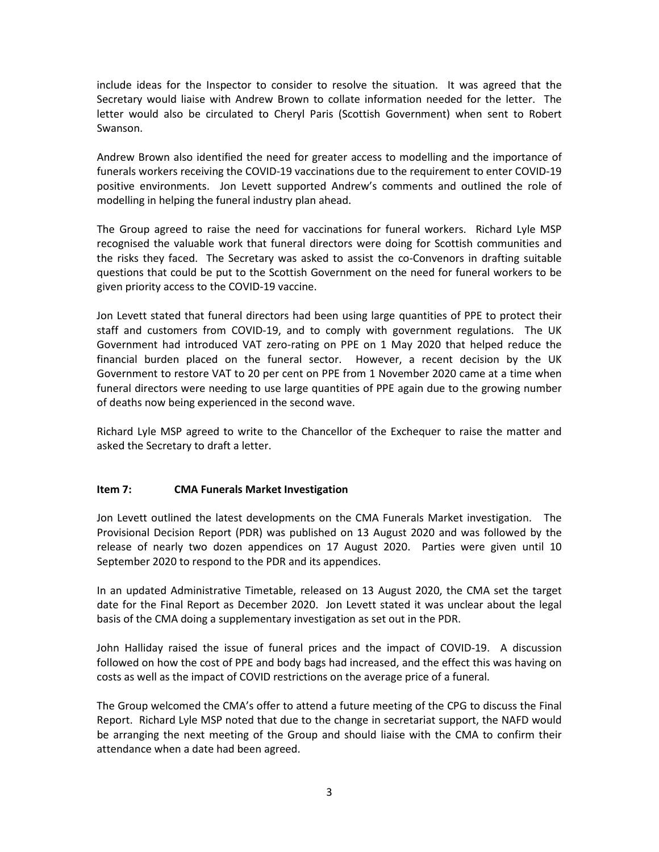include ideas for the Inspector to consider to resolve the situation. It was agreed that the Secretary would liaise with Andrew Brown to collate information needed for the letter. The letter would also be circulated to Cheryl Paris (Scottish Government) when sent to Robert Swanson.

Andrew Brown also identified the need for greater access to modelling and the importance of funerals workers receiving the COVID-19 vaccinations due to the requirement to enter COVID-19 positive environments. Jon Levett supported Andrew's comments and outlined the role of modelling in helping the funeral industry plan ahead.

The Group agreed to raise the need for vaccinations for funeral workers. Richard Lyle MSP recognised the valuable work that funeral directors were doing for Scottish communities and the risks they faced. The Secretary was asked to assist the co-Convenors in drafting suitable questions that could be put to the Scottish Government on the need for funeral workers to be given priority access to the COVID-19 vaccine.

Jon Levett stated that funeral directors had been using large quantities of PPE to protect their staff and customers from COVID-19, and to comply with government regulations. The UK Government had introduced VAT zero-rating on PPE on 1 May 2020 that helped reduce the financial burden placed on the funeral sector. However, a recent decision by the UK Government to restore VAT to 20 per cent on PPE from 1 November 2020 came at a time when funeral directors were needing to use large quantities of PPE again due to the growing number of deaths now being experienced in the second wave.

Richard Lyle MSP agreed to write to the Chancellor of the Exchequer to raise the matter and asked the Secretary to draft a letter.

# **Item 7: CMA Funerals Market Investigation**

Jon Levett outlined the latest developments on the CMA Funerals Market investigation. The Provisional Decision Report (PDR) was published on 13 August 2020 and was followed by the release of nearly two dozen appendices on 17 August 2020. Parties were given until 10 September 2020 to respond to the PDR and its appendices.

In an updated Administrative Timetable, released on 13 August 2020, the CMA set the target date for the Final Report as December 2020. Jon Levett stated it was unclear about the legal basis of the CMA doing a supplementary investigation as set out in the PDR.

John Halliday raised the issue of funeral prices and the impact of COVID-19. A discussion followed on how the cost of PPE and body bags had increased, and the effect this was having on costs as well as the impact of COVID restrictions on the average price of a funeral.

The Group welcomed the CMA's offer to attend a future meeting of the CPG to discuss the Final Report. Richard Lyle MSP noted that due to the change in secretariat support, the NAFD would be arranging the next meeting of the Group and should liaise with the CMA to confirm their attendance when a date had been agreed.